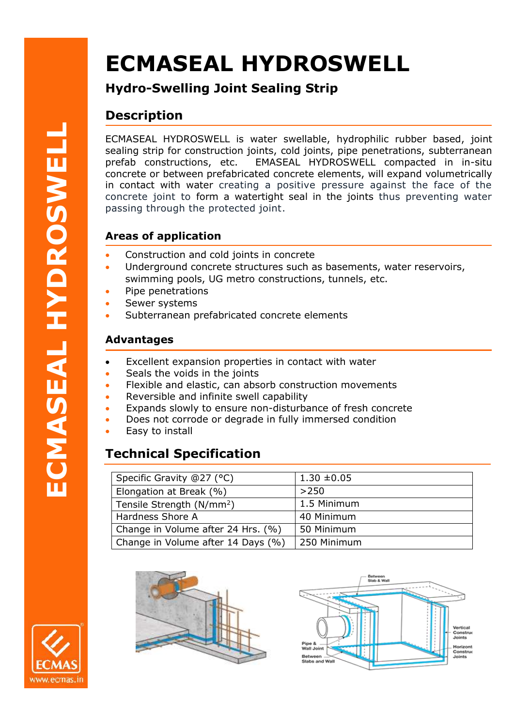# **ECMASEAL HYDROSWELL**

**Hydro-Swelling Joint Sealing Strip**

## **Description**

ECMASEAL HYDROSWELL is water swellable, hydrophilic rubber based, joint sealing strip for construction joints, cold joints, pipe penetrations, subterranean prefab constructions, etc. EMASEAL HYDROSWELL compacted in in-situ concrete or between prefabricated concrete elements, will expand volumetrically in contact with water creating a positive pressure against the face of the concrete joint to form a watertight seal in the joints thus preventing water passing through the protected joint.

## **Areas of application**

- Construction and cold joints in concrete
- Underground concrete structures such as basements, water reservoirs, swimming pools, UG metro constructions, tunnels, etc.
- Pipe penetrations
- Sewer systems
- Subterranean prefabricated concrete elements

### **Advantages**

- Excellent expansion properties in contact with water
- Seals the voids in the joints
- Flexible and elastic, can absorb construction movements
- Reversible and infinite swell capability
- Expands slowly to ensure non-disturbance of fresh concrete
- Does not corrode or degrade in fully immersed condition
- Easy to install

# **Technical Specification**

| Specific Gravity @27 (°C)             | $1.30 \pm 0.05$ |
|---------------------------------------|-----------------|
| Elongation at Break (%)               | >250            |
| Tensile Strength (N/mm <sup>2</sup> ) | 1.5 Minimum     |
| Hardness Shore A                      | 40 Minimum      |
| Change in Volume after 24 Hrs. (%)    | 50 Minimum      |
| Change in Volume after 14 Days (%)    | 250 Minimum     |